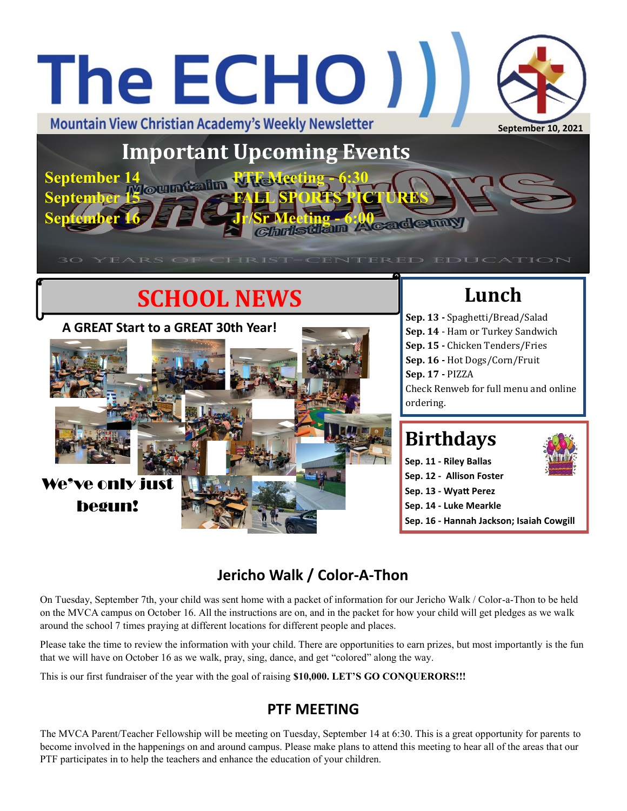# The ECHO ) **Mountain View Christian Academy's Weekly Newsletter September 10, 2021 Important Upcoming Events September 14 PTF Meeting - 6:30**

 $\alpha$ *Shristian Academ***y** 

**IRIST-CENTERED EDUC** 

# **SCHOOL NEWS**

**September 15 FALL SPORTS PICTURES**



## **Lunch**

**Sep. 13 -** Spaghetti/Bread/Salad **Sep. 14** - Ham or Turkey Sandwich **Sep. 15 -** Chicken Tenders/Fries **Sep. 16 -** Hot Dogs/Corn/Fruit **Sep. 17 -** PIZZA Check Renweb for full menu and online ordering.

## **Birthdays**

**Sep. 11 - Riley Ballas Sep. 12 - Allison Foster Sep. 13 - Wyatt Perez**

**Sep. 14 - Luke Mearkle**

**Sep. 16 - Hannah Jackson; Isaiah Cowgill**

### **Jericho Walk / Color-A-Thon**

On Tuesday, September 7th, your child was sent home with a packet of information for our Jericho Walk / Color-a-Thon to be held on the MVCA campus on October 16. All the instructions are on, and in the packet for how your child will get pledges as we walk around the school 7 times praying at different locations for different people and places.

Please take the time to review the information with your child. There are opportunities to earn prizes, but most importantly is the fun that we will have on October 16 as we walk, pray, sing, dance, and get "colored" along the way.

This is our first fundraiser of the year with the goal of raising **\$10,000. LET'S GO CONQUERORS!!!**

### **PTF MEETING**

The MVCA Parent/Teacher Fellowship will be meeting on Tuesday, September 14 at 6:30. This is a great opportunity for parents to become involved in the happenings on and around campus. Please make plans to attend this meeting to hear all of the areas that our PTF participates in to help the teachers and enhance the education of your children.